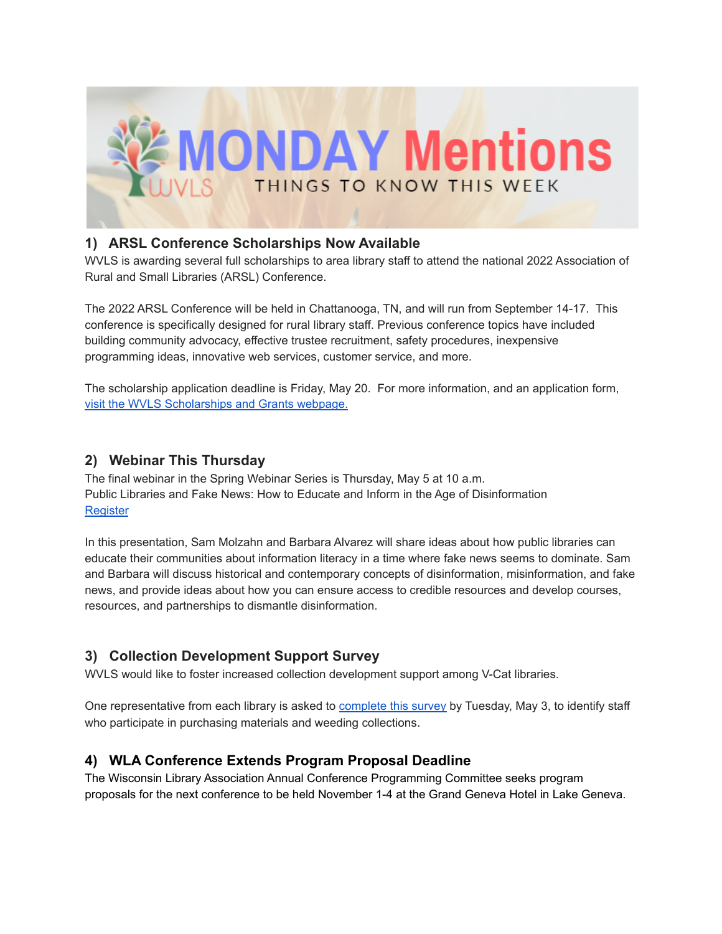

# **1) ARSL Conference Scholarships Now Available**

WVLS is awarding several full scholarships to area library staff to attend the national 2022 Association of Rural and Small Libraries (ARSL) Conference.

The 2022 ARSL Conference will be held in Chattanooga, TN, and will run from September 14-17. This conference is specifically designed for rural library staff. Previous conference topics have included building community advocacy, effective trustee recruitment, safety procedures, inexpensive programming ideas, innovative web services, customer service, and more.

The scholarship application deadline is Friday, May 20. For more information, and an application form[,](https://wvls.org/scholarships-and-grants/) visit the WVLS [Scholarships](https://wvls.org/scholarships-and-grants/) and Grants webpage.

#### **2) Webinar This Thursday**

The final webinar in the Spring Webinar Series is Thursday, May 5 at 10 a.m. Public Libraries and Fake News: How to Educate and Inform in the Age of Disinformation **[Register](https://us02web.zoom.us/webinar/register/WN_WZpSJgK5R3WD9PHHVojdtQ)** 

In this presentation, Sam Molzahn and Barbara Alvarez will share ideas about how public libraries can educate their communities about information literacy in a time where fake news seems to dominate. Sam and Barbara will discuss historical and contemporary concepts of disinformation, misinformation, and fake news, and provide ideas about how you can ensure access to credible resources and develop courses, resources, and partnerships to dismantle disinformation.

## **3) Collection Development Support Survey**

WVLS would like to foster increased collection development support among V-Cat libraries.

One representative from each library is asked to [complete](https://forms.gle/K7YwGp3HrxpEDp246) this survey by Tuesday, May 3, to identify staff who participate in purchasing materials and weeding collections.

## **4) WLA Conference Extends Program Proposal Deadline**

The Wisconsin Library Association Annual Conference Programming Committee seeks program proposals for the next conference to be held November 1-4 at the Grand Geneva Hotel in Lake Geneva.